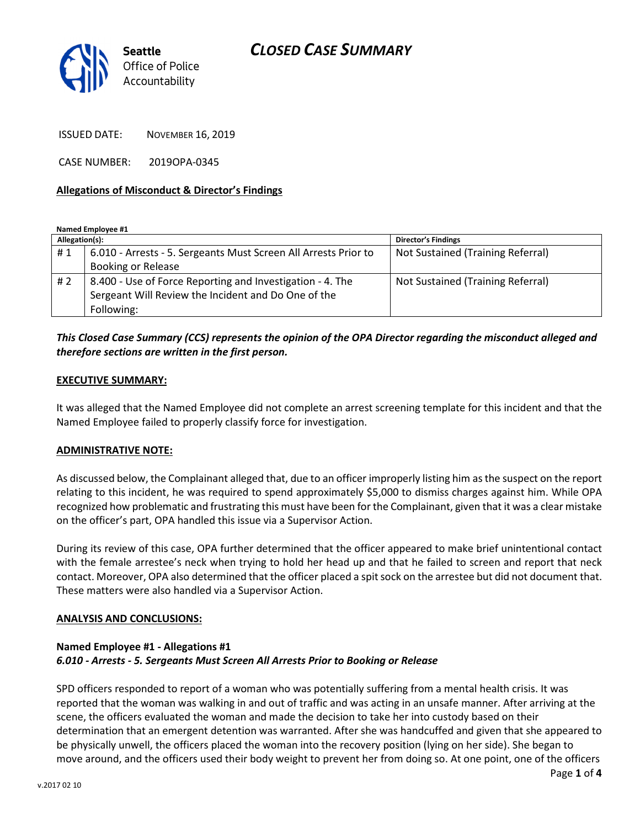

ISSUED DATE: NOVEMBER 16, 2019

CASE NUMBER: 2019OPA-0345

### Allegations of Misconduct & Director's Findings

Named Employee #1

| Allegation(s): |                                                                 | <b>Director's Findings</b>        |
|----------------|-----------------------------------------------------------------|-----------------------------------|
| #1             | 6.010 - Arrests - 5. Sergeants Must Screen All Arrests Prior to | Not Sustained (Training Referral) |
|                | Booking or Release                                              |                                   |
| #2             | 8.400 - Use of Force Reporting and Investigation - 4. The       | Not Sustained (Training Referral) |
|                | Sergeant Will Review the Incident and Do One of the             |                                   |
|                | Following:                                                      |                                   |

### This Closed Case Summary (CCS) represents the opinion of the OPA Director regarding the misconduct alleged and therefore sections are written in the first person.

#### EXECUTIVE SUMMARY:

It was alleged that the Named Employee did not complete an arrest screening template for this incident and that the Named Employee failed to properly classify force for investigation.

#### ADMINISTRATIVE NOTE:

As discussed below, the Complainant alleged that, due to an officer improperly listing him as the suspect on the report relating to this incident, he was required to spend approximately \$5,000 to dismiss charges against him. While OPA recognized how problematic and frustrating this must have been for the Complainant, given that it was a clear mistake on the officer's part, OPA handled this issue via a Supervisor Action.

During its review of this case, OPA further determined that the officer appeared to make brief unintentional contact with the female arrestee's neck when trying to hold her head up and that he failed to screen and report that neck contact. Moreover, OPA also determined that the officer placed a spit sock on the arrestee but did not document that. These matters were also handled via a Supervisor Action.

#### ANALYSIS AND CONCLUSIONS:

### Named Employee #1 - Allegations #1 6.010 - Arrests - 5. Sergeants Must Screen All Arrests Prior to Booking or Release

SPD officers responded to report of a woman who was potentially suffering from a mental health crisis. It was reported that the woman was walking in and out of traffic and was acting in an unsafe manner. After arriving at the scene, the officers evaluated the woman and made the decision to take her into custody based on their determination that an emergent detention was warranted. After she was handcuffed and given that she appeared to be physically unwell, the officers placed the woman into the recovery position (lying on her side). She began to move around, and the officers used their body weight to prevent her from doing so. At one point, one of the officers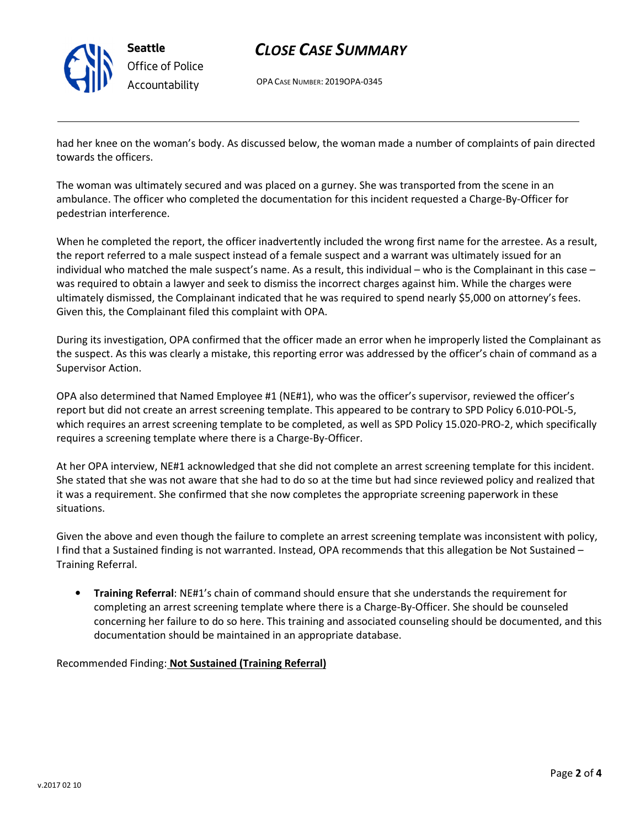

Seattle Office of Police Accountability

# CLOSE CASE SUMMARY

OPA CASE NUMBER: 2019OPA-0345

had her knee on the woman's body. As discussed below, the woman made a number of complaints of pain directed towards the officers.

The woman was ultimately secured and was placed on a gurney. She was transported from the scene in an ambulance. The officer who completed the documentation for this incident requested a Charge-By-Officer for pedestrian interference.

When he completed the report, the officer inadvertently included the wrong first name for the arrestee. As a result, the report referred to a male suspect instead of a female suspect and a warrant was ultimately issued for an individual who matched the male suspect's name. As a result, this individual – who is the Complainant in this case – was required to obtain a lawyer and seek to dismiss the incorrect charges against him. While the charges were ultimately dismissed, the Complainant indicated that he was required to spend nearly \$5,000 on attorney's fees. Given this, the Complainant filed this complaint with OPA.

During its investigation, OPA confirmed that the officer made an error when he improperly listed the Complainant as the suspect. As this was clearly a mistake, this reporting error was addressed by the officer's chain of command as a Supervisor Action.

OPA also determined that Named Employee #1 (NE#1), who was the officer's supervisor, reviewed the officer's report but did not create an arrest screening template. This appeared to be contrary to SPD Policy 6.010-POL-5, which requires an arrest screening template to be completed, as well as SPD Policy 15.020-PRO-2, which specifically requires a screening template where there is a Charge-By-Officer.

At her OPA interview, NE#1 acknowledged that she did not complete an arrest screening template for this incident. She stated that she was not aware that she had to do so at the time but had since reviewed policy and realized that it was a requirement. She confirmed that she now completes the appropriate screening paperwork in these situations.

Given the above and even though the failure to complete an arrest screening template was inconsistent with policy, I find that a Sustained finding is not warranted. Instead, OPA recommends that this allegation be Not Sustained – Training Referral.

• Training Referral: NE#1's chain of command should ensure that she understands the requirement for completing an arrest screening template where there is a Charge-By-Officer. She should be counseled concerning her failure to do so here. This training and associated counseling should be documented, and this documentation should be maintained in an appropriate database.

Recommended Finding: Not Sustained (Training Referral)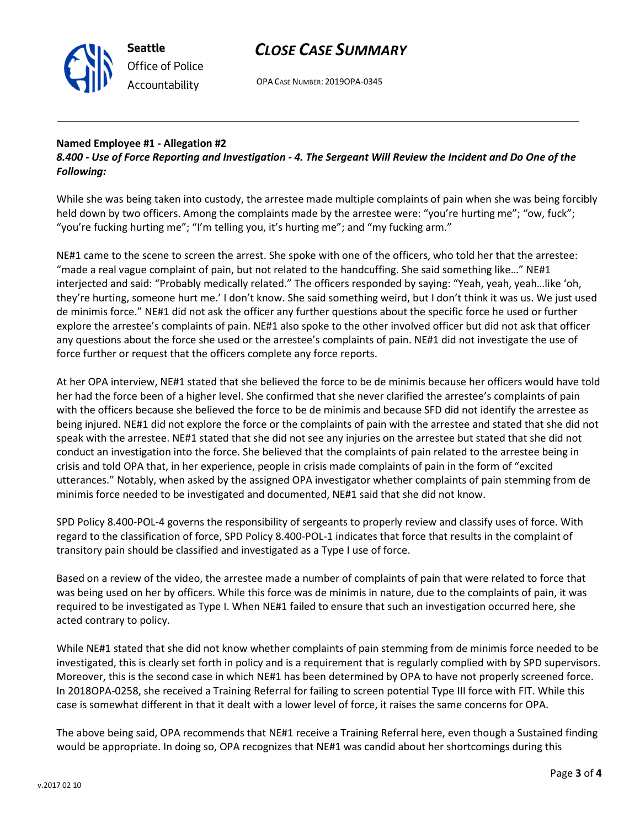

# Office of Police Accountability

### CLOSE CASE SUMMARY

OPA CASE NUMBER: 2019OPA-0345

### Named Employee #1 - Allegation #2

8.400 - Use of Force Reporting and Investigation - 4. The Sergeant Will Review the Incident and Do One of the Following:

While she was being taken into custody, the arrestee made multiple complaints of pain when she was being forcibly held down by two officers. Among the complaints made by the arrestee were: "you're hurting me"; "ow, fuck"; "you're fucking hurting me"; "I'm telling you, it's hurting me"; and "my fucking arm."

NE#1 came to the scene to screen the arrest. She spoke with one of the officers, who told her that the arrestee: "made a real vague complaint of pain, but not related to the handcuffing. She said something like…" NE#1 interjected and said: "Probably medically related." The officers responded by saying: "Yeah, yeah, yeah…like 'oh, they're hurting, someone hurt me.' I don't know. She said something weird, but I don't think it was us. We just used de minimis force." NE#1 did not ask the officer any further questions about the specific force he used or further explore the arrestee's complaints of pain. NE#1 also spoke to the other involved officer but did not ask that officer any questions about the force she used or the arrestee's complaints of pain. NE#1 did not investigate the use of force further or request that the officers complete any force reports.

At her OPA interview, NE#1 stated that she believed the force to be de minimis because her officers would have told her had the force been of a higher level. She confirmed that she never clarified the arrestee's complaints of pain with the officers because she believed the force to be de minimis and because SFD did not identify the arrestee as being injured. NE#1 did not explore the force or the complaints of pain with the arrestee and stated that she did not speak with the arrestee. NE#1 stated that she did not see any injuries on the arrestee but stated that she did not conduct an investigation into the force. She believed that the complaints of pain related to the arrestee being in crisis and told OPA that, in her experience, people in crisis made complaints of pain in the form of "excited utterances." Notably, when asked by the assigned OPA investigator whether complaints of pain stemming from de minimis force needed to be investigated and documented, NE#1 said that she did not know.

SPD Policy 8.400-POL-4 governs the responsibility of sergeants to properly review and classify uses of force. With regard to the classification of force, SPD Policy 8.400-POL-1 indicates that force that results in the complaint of transitory pain should be classified and investigated as a Type I use of force.

Based on a review of the video, the arrestee made a number of complaints of pain that were related to force that was being used on her by officers. While this force was de minimis in nature, due to the complaints of pain, it was required to be investigated as Type I. When NE#1 failed to ensure that such an investigation occurred here, she acted contrary to policy.

While NE#1 stated that she did not know whether complaints of pain stemming from de minimis force needed to be investigated, this is clearly set forth in policy and is a requirement that is regularly complied with by SPD supervisors. Moreover, this is the second case in which NE#1 has been determined by OPA to have not properly screened force. In 2018OPA-0258, she received a Training Referral for failing to screen potential Type III force with FIT. While this case is somewhat different in that it dealt with a lower level of force, it raises the same concerns for OPA.

The above being said, OPA recommends that NE#1 receive a Training Referral here, even though a Sustained finding would be appropriate. In doing so, OPA recognizes that NE#1 was candid about her shortcomings during this